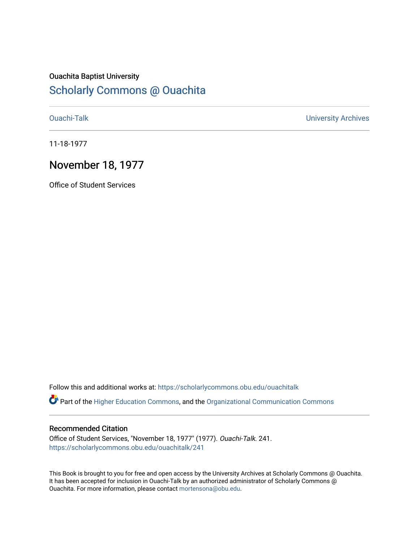## Ouachita Baptist University [Scholarly Commons @ Ouachita](https://scholarlycommons.obu.edu/)

[Ouachi-Talk](https://scholarlycommons.obu.edu/ouachitalk) [University Archives](https://scholarlycommons.obu.edu/universityarchives) 

11-18-1977

### November 18, 1977

Office of Student Services

Follow this and additional works at: [https://scholarlycommons.obu.edu/ouachitalk](https://scholarlycommons.obu.edu/ouachitalk?utm_source=scholarlycommons.obu.edu%2Fouachitalk%2F241&utm_medium=PDF&utm_campaign=PDFCoverPages) 

Part of the [Higher Education Commons,](http://network.bepress.com/hgg/discipline/1245?utm_source=scholarlycommons.obu.edu%2Fouachitalk%2F241&utm_medium=PDF&utm_campaign=PDFCoverPages) and the [Organizational Communication Commons](http://network.bepress.com/hgg/discipline/335?utm_source=scholarlycommons.obu.edu%2Fouachitalk%2F241&utm_medium=PDF&utm_campaign=PDFCoverPages)

#### Recommended Citation

Office of Student Services, "November 18, 1977" (1977). Ouachi-Talk. 241. [https://scholarlycommons.obu.edu/ouachitalk/241](https://scholarlycommons.obu.edu/ouachitalk/241?utm_source=scholarlycommons.obu.edu%2Fouachitalk%2F241&utm_medium=PDF&utm_campaign=PDFCoverPages) 

This Book is brought to you for free and open access by the University Archives at Scholarly Commons @ Ouachita. It has been accepted for inclusion in Ouachi-Talk by an authorized administrator of Scholarly Commons @ Ouachita. For more information, please contact [mortensona@obu.edu](mailto:mortensona@obu.edu).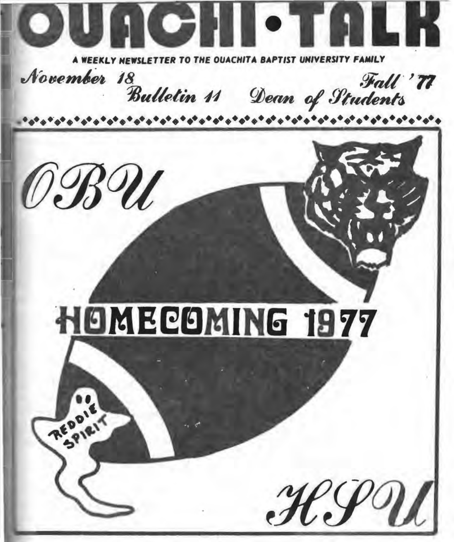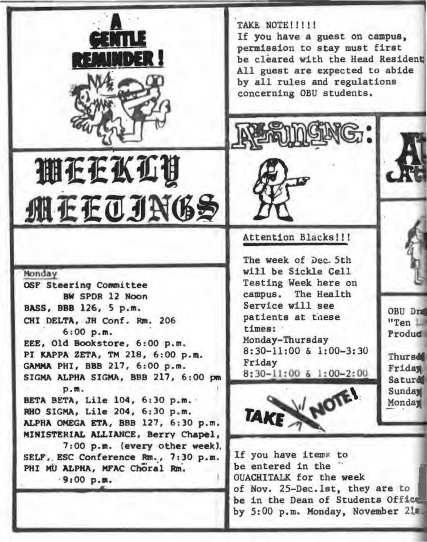TAKE NOTE!!!!! If you have a guest on campus, permission to stay must first be cleared with the Head Resident All guest are expected to abide by all rules and regulations concerning OBU students.

lli.<br>Frankli **MEEOJN6S** 

e nu

DER !

BW SPDR 12 Noon<br>
and 126 5 n m<br>
Service will see  $BASS, BBB 126, 5 p.m.$  Service will see<br> $CUT. DSTRA = TU. COS, D = 206$  patients at these CHI DELTA, JH Conf. Rm. 206 patients  $\lim_{t \to 0}$ 6:00 p.m.<br>d Bookstore 6:00 p.m. Monday-Thursday EEE, Old Bookstore, 6:00 p.m. Monday-Thursday<br>BI WARDA ZETA TH 218 6:00 p.m. 8:30-11:00 & 1:00-3:30 PI KAPPA ZETA, TM 218, 6:00 p.m.  $8:30-1$ :<br>CAMMA BUI BBB 217 6:00 p.m. Friday GAMMA PHI, BBB 217, 6:00 p.m. Friday<br>SIGMA ALBUA SIGMA BBB 217, 6:00 p.m. 8:30-11:00 & 1:00-2:00 SIGMA ALPHA SIGMA, BBB 217, 6:00 pm p.m. BETA BETA, Lile 104, 6:30 p.m. RHO SIGMA, Li1e 204, 6:30 p.m. ALPHA OMEGA ETA, BBB 127, 6:30 p.m. RHO SIGMA, LILE 204, 6:30 p.m.<br>ALPHA OMEGA ETA, BBB 127, 6:30 p.m. **TAKE**<br>MINISTERIAL ALLIANCE, Berry Chapel, 7:00 p.m. (every other week), SELF, ESC Conference Rm., 7:30 p.m. PHI MU ALPHA, MFAC Choral Rm.

#### Attention Blacks!!!

The week of Dec. 5th will be Sickle Cell Nonday<br>
OSF Steering Committee Testing Week here on



OBU Dra  $"Ten 1$ Produd

**Thursd** Friday **Saturd** Sunday Monday

If you have items to be entered in the  $-$ <br>OUACHITALK for the week OUACHITALK for the week · 9a00 p.a. 1 ..................................... of Nov. 25-Dec.1st, they are to be in the Dean of Students Office-

by  $5:00$  p.m. Monday, November  $2!$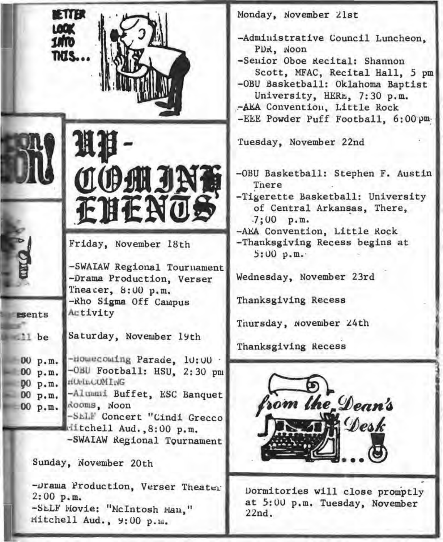| <b>ETTER</b><br>LOOK<br>1MO<br>TKIS                        |                                                                                                                                                                                                                                          | Monday, November 21st<br>-Administrative Council Luncheon,<br>PDR, Noon<br>-Senior Oboe Recital: Shannon<br>Scott, MFAC, Recital Hall, 5 pm<br>-OBU Basketball: Oklahoma Baptist<br>University, HERE, 7:30 p.m.<br>-AEA Convention, Little Rock |
|------------------------------------------------------------|------------------------------------------------------------------------------------------------------------------------------------------------------------------------------------------------------------------------------------------|-------------------------------------------------------------------------------------------------------------------------------------------------------------------------------------------------------------------------------------------------|
|                                                            | 坦非<br><b>COMJNO</b><br><b>ENENOS</b>                                                                                                                                                                                                     | -EEE Powder Puff Football, 6:00 pm.<br>Tuesday, November 22nd<br>-OBU Basketball: Stephen F. Austin<br>There<br>-Tigerette Basketball: University<br>of Central Arkansas, There,<br>$-7:00$ p.m.                                                |
| esents<br>11 be                                            | Friday, November 18th<br>-SWAIAW Regional Tournament<br>-Drama Production, Verser<br>Theacer, 8:00 p.m.<br>-Rho Sigma Off Campus<br>Activity<br>Saturday, November 19th                                                                  | -AEA Convention, Little Rock<br>-Thanksgiving Recess begins at<br>5:00 p.m.<br>Wednesday, November 23rd<br>Thanksgiving Recess<br>Thursday, November 24th                                                                                       |
| 00 p.m.<br>00 p.m.<br><b>00 p.m.</b><br>00 p.m.<br>00 p.m. | -Howecouing Parade, 10:00<br>-OBU Football: HSU, 2:30 pm<br>HUrlEGUMING<br>-Alumni Buffet, ESC Banquet<br>Rooms, Noon<br>-SELF Concert "Cindi Grecco<br>Hitchell Aud., 8:00 p.m.<br>-SWAIAW Regional Tournament<br>Sunday, November 20th | Thanksgiving Recess<br>e Dean's<br>Desk                                                                                                                                                                                                         |

-Drama Production, Verser Theater  $2:00$  p.m. -SELF Movie: "McIntosh Man," Mitchell Aud., 9:00 p.m.

Dormitories will close promptly at 5:00 p.m. Tuesday, November  $22nd.$